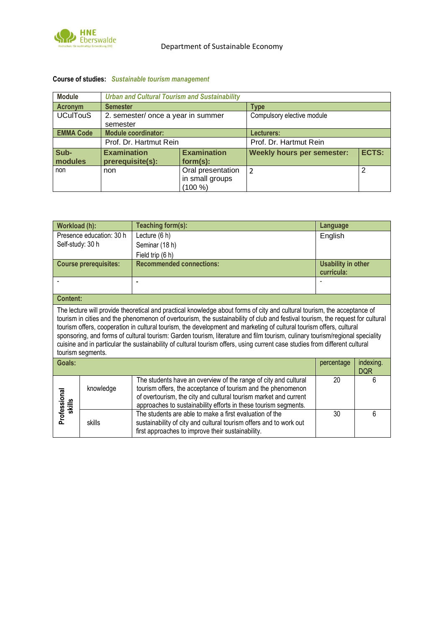

## **Course of studies:** *Sustainable tourism management*

| <b>Module</b>    | <b>Urban and Cultural Tourism and Sustainability</b> |                                                 |                                   |              |  |
|------------------|------------------------------------------------------|-------------------------------------------------|-----------------------------------|--------------|--|
| <b>Acronym</b>   | <b>Semester</b>                                      |                                                 | <b>Type</b>                       |              |  |
| <b>UCulTouS</b>  | 2. semester/ once a year in summer                   |                                                 | Compulsory elective module        |              |  |
|                  | semester                                             |                                                 |                                   |              |  |
| <b>EMMA Code</b> | <b>Module coordinator:</b>                           |                                                 | Lecturers:                        |              |  |
|                  | Prof. Dr. Hartmut Rein                               |                                                 | Prof. Dr. Hartmut Rein            |              |  |
| Sub-<br>modules  | <b>Examination</b><br>prerequisite(s):               | <b>Examination</b><br>$form(s)$ :               | <b>Weekly hours per semester:</b> | <b>ECTS:</b> |  |
| non              | non                                                  | Oral presentation<br>in small groups<br>(100 %) | $\mathcal{P}$                     | 2            |  |

| Workload (h):                                                                                                                                                                                                                                                                                                                                                                                                                                                                                                                                                                                                                                                         |                              | Teaching form(s):                                                                                                                                                                                                                                                      | Language                                |                         |  |  |
|-----------------------------------------------------------------------------------------------------------------------------------------------------------------------------------------------------------------------------------------------------------------------------------------------------------------------------------------------------------------------------------------------------------------------------------------------------------------------------------------------------------------------------------------------------------------------------------------------------------------------------------------------------------------------|------------------------------|------------------------------------------------------------------------------------------------------------------------------------------------------------------------------------------------------------------------------------------------------------------------|-----------------------------------------|-------------------------|--|--|
| Presence education: 30 h                                                                                                                                                                                                                                                                                                                                                                                                                                                                                                                                                                                                                                              |                              | Lecture (6 h)                                                                                                                                                                                                                                                          | English                                 |                         |  |  |
| Self-study: 30 h                                                                                                                                                                                                                                                                                                                                                                                                                                                                                                                                                                                                                                                      |                              | Seminar (18 h)                                                                                                                                                                                                                                                         |                                         |                         |  |  |
|                                                                                                                                                                                                                                                                                                                                                                                                                                                                                                                                                                                                                                                                       | Field trip (6 h)             |                                                                                                                                                                                                                                                                        |                                         |                         |  |  |
|                                                                                                                                                                                                                                                                                                                                                                                                                                                                                                                                                                                                                                                                       | <b>Course prerequisites:</b> | <b>Recommended connections:</b>                                                                                                                                                                                                                                        | <b>Usability in other</b><br>curricula: |                         |  |  |
|                                                                                                                                                                                                                                                                                                                                                                                                                                                                                                                                                                                                                                                                       |                              | ٠                                                                                                                                                                                                                                                                      |                                         |                         |  |  |
| <b>Content:</b>                                                                                                                                                                                                                                                                                                                                                                                                                                                                                                                                                                                                                                                       |                              |                                                                                                                                                                                                                                                                        |                                         |                         |  |  |
| The lecture will provide theoretical and practical knowledge about forms of city and cultural tourism, the acceptance of<br>tourism in cities and the phenomenon of overtourism, the sustainability of club and festival tourism, the request for cultural<br>tourism offers, cooperation in cultural tourism, the development and marketing of cultural tourism offers, cultural<br>sponsoring, and forms of cultural tourism: Garden tourism, literature and film tourism, culinary tourism/regional speciality<br>cuisine and in particular the sustainability of cultural tourism offers, using current case studies from different cultural<br>tourism segments. |                              |                                                                                                                                                                                                                                                                        |                                         |                         |  |  |
| Goals:                                                                                                                                                                                                                                                                                                                                                                                                                                                                                                                                                                                                                                                                |                              |                                                                                                                                                                                                                                                                        | percentage                              | indexing.<br><b>DQR</b> |  |  |
| Professional<br>skills                                                                                                                                                                                                                                                                                                                                                                                                                                                                                                                                                                                                                                                | knowledge                    | The students have an overview of the range of city and cultural<br>tourism offers, the acceptance of tourism and the phenomenon<br>of overtourism, the city and cultural tourism market and current<br>approaches to sustainability efforts in these tourism segments. | 20                                      | 6                       |  |  |
|                                                                                                                                                                                                                                                                                                                                                                                                                                                                                                                                                                                                                                                                       | skills                       | The students are able to make a first evaluation of the<br>sustainability of city and cultural tourism offers and to work out<br>first approaches to improve their sustainability.                                                                                     | 30                                      | 6                       |  |  |